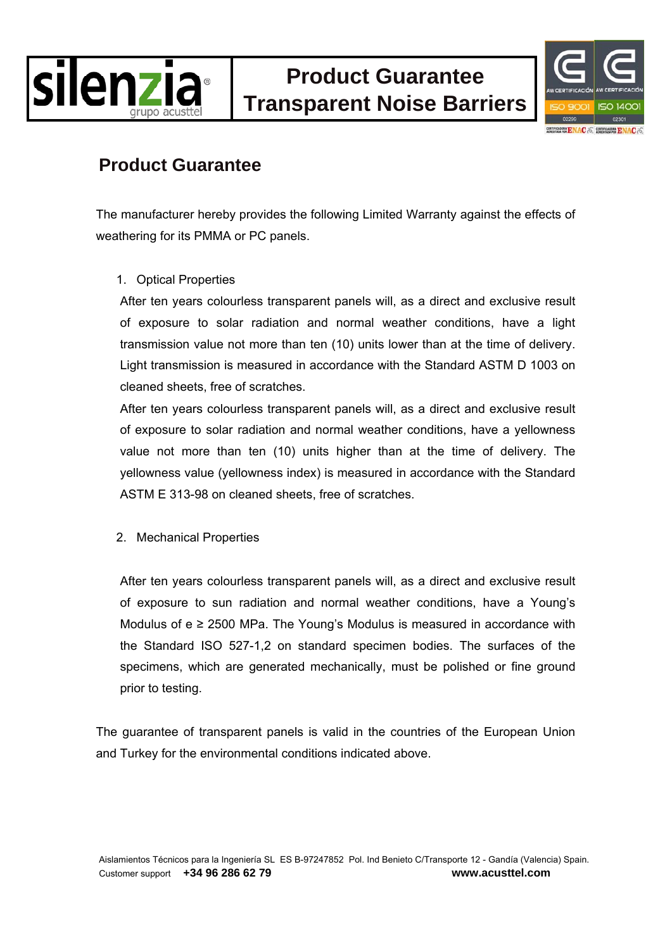



## **Product Guarantee**

The manufacturer hereby provides the following Limited Warranty against the effects of weathering for its PMMA or PC panels.

## 1. Optical Properties

After ten years colourless transparent panels will, as a direct and exclusive result of exposure to solar radiation and normal weather conditions, have a light transmission value not more than ten (10) units lower than at the time of delivery. Light transmission is measured in accordance with the Standard ASTM D 1003 on cleaned sheets, free of scratches.

After ten years colourless transparent panels will, as a direct and exclusive result of exposure to solar radiation and normal weather conditions, have a yellowness value not more than ten (10) units higher than at the time of delivery. The yellowness value (yellowness index) is measured in accordance with the Standard ASTM E 313-98 on cleaned sheets, free of scratches.

## 2. Mechanical Properties

After ten years colourless transparent panels will, as a direct and exclusive result of exposure to sun radiation and normal weather conditions, have a Young's Modulus of  $e \ge 2500$  MPa. The Young's Modulus is measured in accordance with the Standard ISO 527-1,2 on standard specimen bodies. The surfaces of the specimens, which are generated mechanically, must be polished or fine ground prior to testing.

The guarantee of transparent panels is valid in the countries of the European Union and Turkey for the environmental conditions indicated above.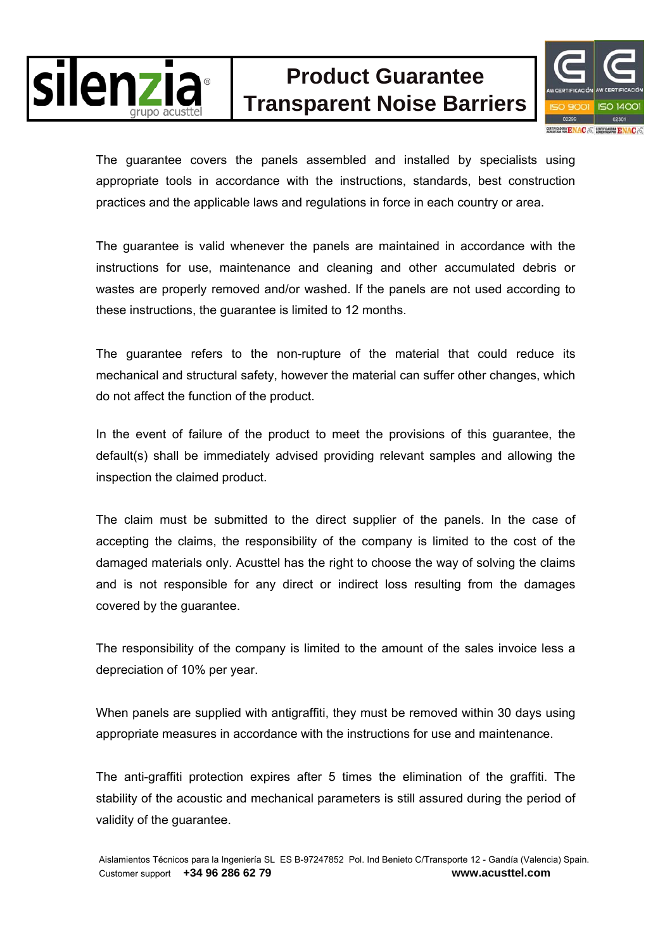

## **Product Guarantee Transparent Noise Barriers**



The guarantee covers the panels assembled and installed by specialists using appropriate tools in accordance with the instructions, standards, best construction practices and the applicable laws and regulations in force in each country or area.

The guarantee is valid whenever the panels are maintained in accordance with the instructions for use, maintenance and cleaning and other accumulated debris or wastes are properly removed and/or washed. If the panels are not used according to these instructions, the guarantee is limited to 12 months.

The guarantee refers to the non-rupture of the material that could reduce its mechanical and structural safety, however the material can suffer other changes, which do not affect the function of the product.

In the event of failure of the product to meet the provisions of this guarantee, the default(s) shall be immediately advised providing relevant samples and allowing the inspection the claimed product.

The claim must be submitted to the direct supplier of the panels. In the case of accepting the claims, the responsibility of the company is limited to the cost of the damaged materials only. Acusttel has the right to choose the way of solving the claims and is not responsible for any direct or indirect loss resulting from the damages covered by the guarantee.

The responsibility of the company is limited to the amount of the sales invoice less a depreciation of 10% per year.

When panels are supplied with antigraffiti, they must be removed within 30 days using appropriate measures in accordance with the instructions for use and maintenance.

The anti-graffiti protection expires after 5 times the elimination of the graffiti. The stability of the acoustic and mechanical parameters is still assured during the period of validity of the guarantee.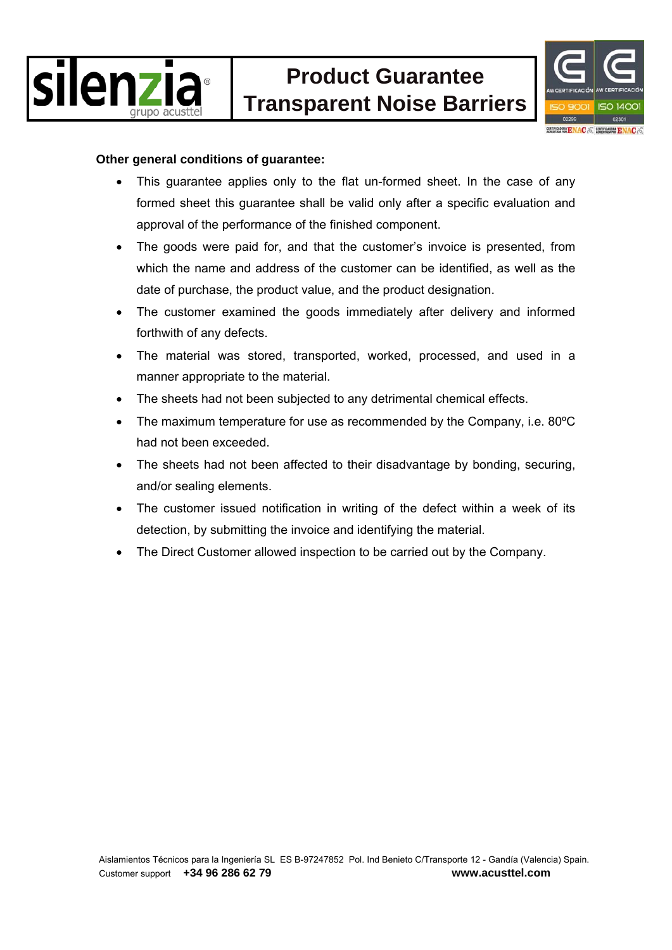



#### **Other general conditions of guarantee:**

- This guarantee applies only to the flat un-formed sheet. In the case of any formed sheet this guarantee shall be valid only after a specific evaluation and approval of the performance of the finished component.
- The goods were paid for, and that the customer's invoice is presented, from which the name and address of the customer can be identified, as well as the date of purchase, the product value, and the product designation.
- The customer examined the goods immediately after delivery and informed forthwith of any defects.
- The material was stored, transported, worked, processed, and used in a manner appropriate to the material.
- The sheets had not been subjected to any detrimental chemical effects.
- The maximum temperature for use as recommended by the Company, i.e. 80°C had not been exceeded.
- The sheets had not been affected to their disadvantage by bonding, securing, and/or sealing elements.
- The customer issued notification in writing of the defect within a week of its detection, by submitting the invoice and identifying the material.
- The Direct Customer allowed inspection to be carried out by the Company.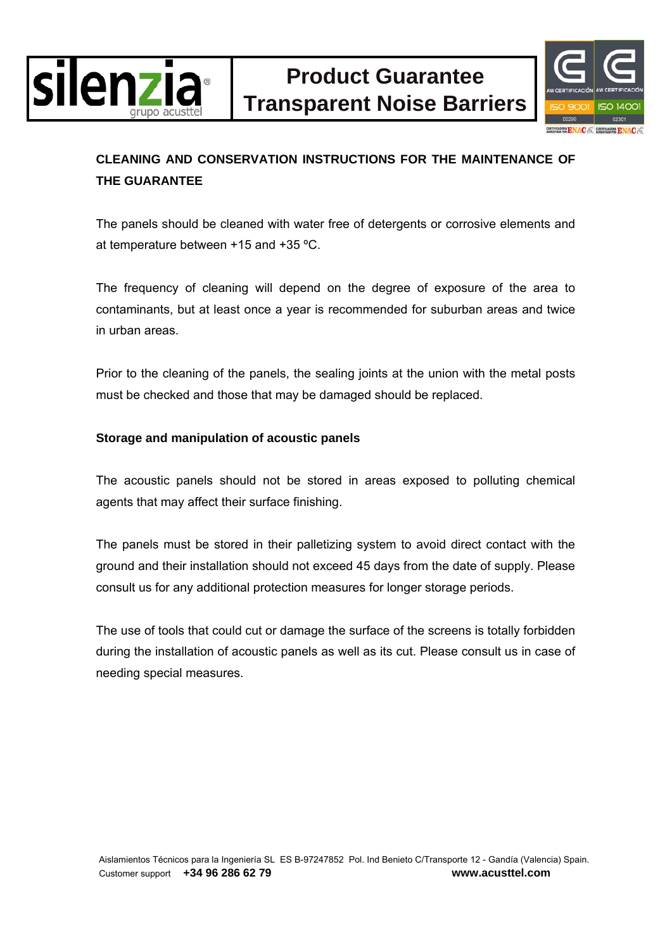



## **CLEANING AND CONSERVATION INSTRUCTIONS FOR THE MAINTENANCE OF THE GUARANTEE**

The panels should be cleaned with water free of detergents or corrosive elements and at temperature between +15 and +35 ºC.

The frequency of cleaning will depend on the degree of exposure of the area to contaminants, but at least once a year is recommended for suburban areas and twice in urban areas.

Prior to the cleaning of the panels, the sealing joints at the union with the metal posts must be checked and those that may be damaged should be replaced.

## **Storage and manipulation of acoustic panels**

The acoustic panels should not be stored in areas exposed to polluting chemical agents that may affect their surface finishing.

The panels must be stored in their palletizing system to avoid direct contact with the ground and their installation should not exceed 45 days from the date of supply. Please consult us for any additional protection measures for longer storage periods.

The use of tools that could cut or damage the surface of the screens is totally forbidden during the installation of acoustic panels as well as its cut. Please consult us in case of needing special measures.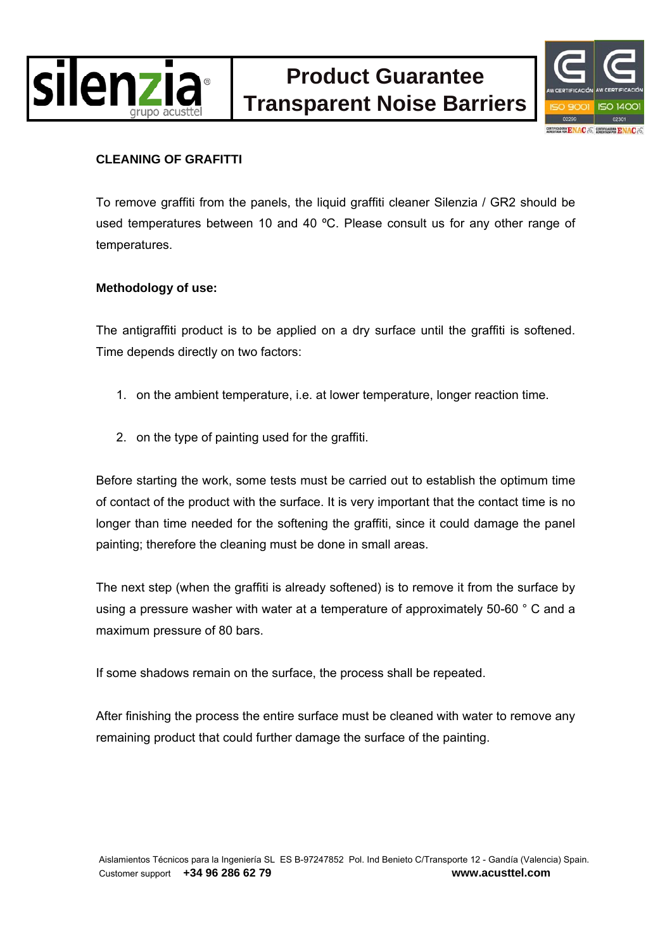



## **CLEANING OF GRAFITTI**

To remove graffiti from the panels, the liquid graffiti cleaner Silenzia / GR2 should be used temperatures between 10 and 40 °C. Please consult us for any other range of temperatures.

## **Methodology of use:**

The antigraffiti product is to be applied on a dry surface until the graffiti is softened. Time depends directly on two factors:

- 1. on the ambient temperature, i.e. at lower temperature, longer reaction time.
- 2. on the type of painting used for the graffiti.

Before starting the work, some tests must be carried out to establish the optimum time of contact of the product with the surface. It is very important that the contact time is no longer than time needed for the softening the graffiti, since it could damage the panel painting; therefore the cleaning must be done in small areas.

The next step (when the graffiti is already softened) is to remove it from the surface by using a pressure washer with water at a temperature of approximately 50-60 ° C and a maximum pressure of 80 bars.

If some shadows remain on the surface, the process shall be repeated.

After finishing the process the entire surface must be cleaned with water to remove any remaining product that could further damage the surface of the painting.